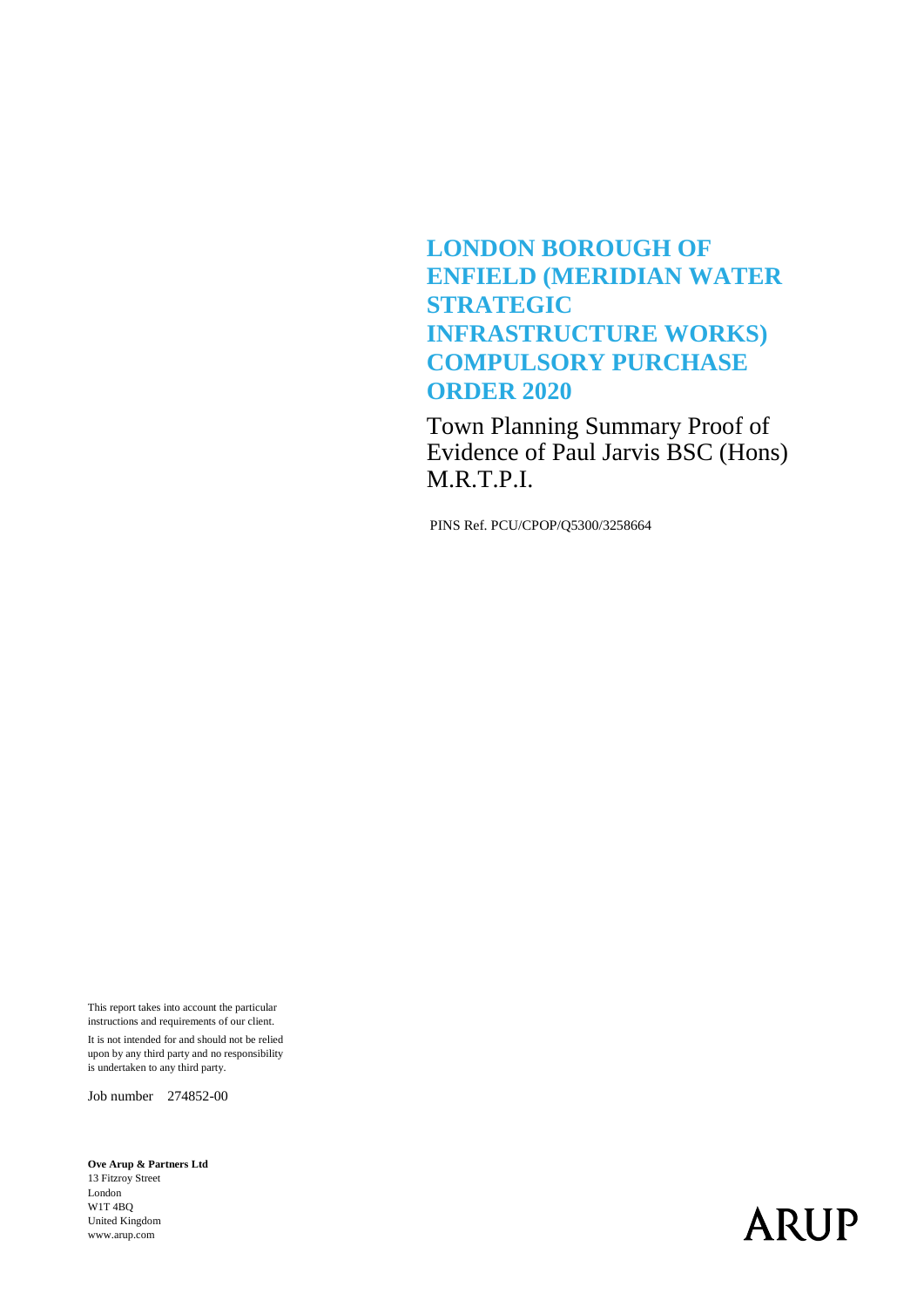#### **LONDON BOROUGH OF ENFIELD (MERIDIAN WATER STRATEGIC INFRASTRUCTURE WORKS) COMPULSORY PURCHASE ORDER 2020**

Town Planning Summary Proof of Evidence of Paul Jarvis BSC (Hons) M.R.T.P.I.

PINS Ref. PCU/CPOP/Q5300/3258664

This report takes into account the particular instructions and requirements of our client. It is not intended for and should not be relied upon by any third party and no responsibility is undertaken to any third party.

Job number 274852-00

**Ove Arup & Partners Ltd** 13 Fitzroy Street London W1T 4BQ United Kingdom www.arup.com

# **ARUP**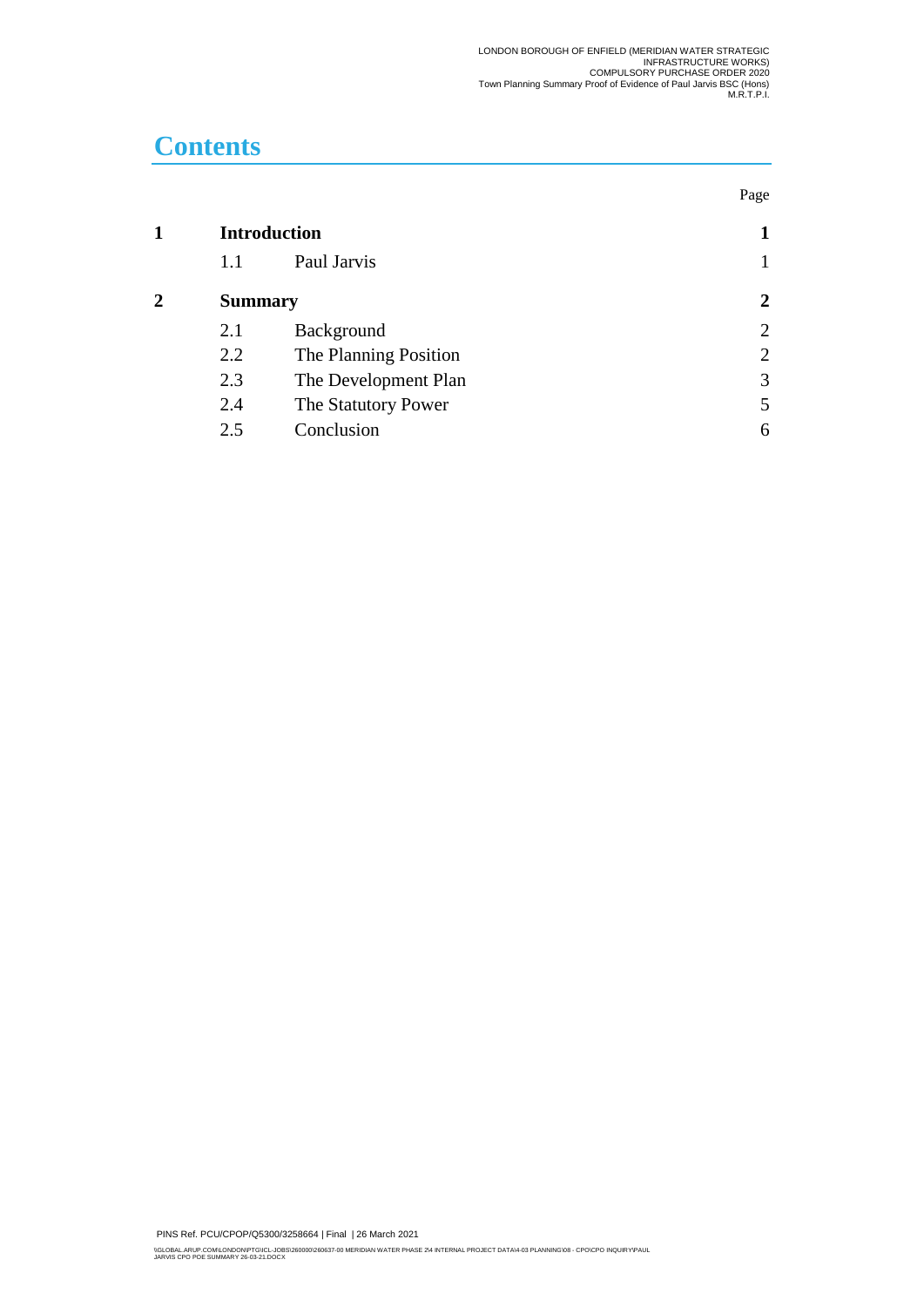## **Contents**

|   |                     |                       | Page           |
|---|---------------------|-----------------------|----------------|
|   | <b>Introduction</b> |                       | 1              |
|   | 1.1                 | Paul Jarvis           | 1              |
| 2 | <b>Summary</b>      |                       | $\overline{2}$ |
|   | 2.1                 | Background            | 2              |
|   | 2.2                 | The Planning Position | 2              |
|   | 2.3                 | The Development Plan  | 3              |
|   | 2.4                 | The Statutory Power   | 5              |
|   | 2.5                 | Conclusion            | 6              |
|   |                     |                       |                |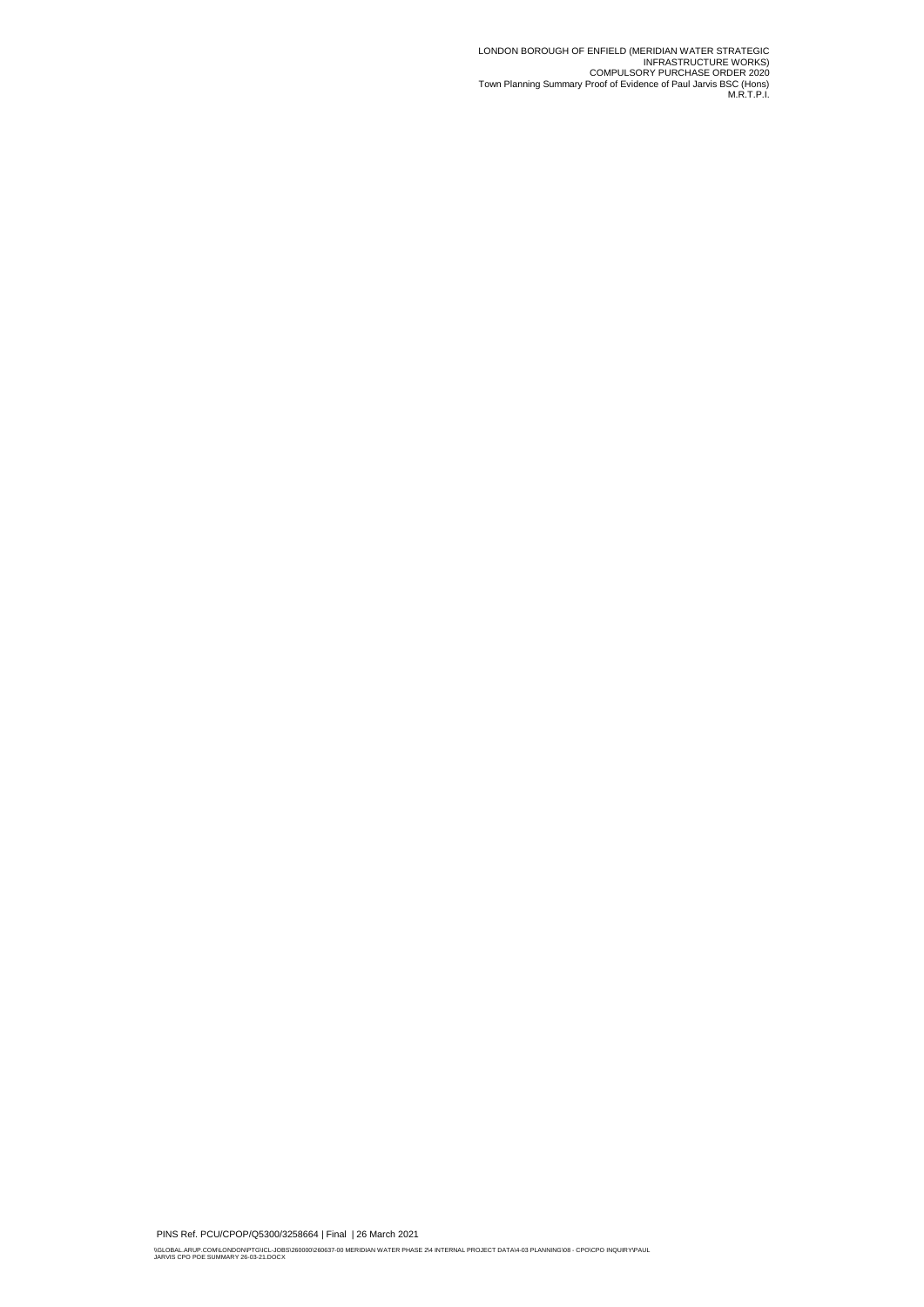LONDON BOROUGH OF ENFIELD (MERIDIAN WATER STRATEGIC<br>INFRASTRUCTURE WORKS)<br>COMPULSORY PURCHASE ORDER 2020<br>Town Planning Summary Proof of Evidence of Paul Jarvis BSC (Hons)<br>M.R.T.P.I.

PINS Ref. PCU/CPOP/Q5300/3258664 | Final | 26 March 2021

\\GLOBAL.ARUP.COM\LONDON\PTG\\CL-JOBS\260000\260637-00 MERIDIAN WATER PHASE 2\4 INTERNAL PROJECT DATA\4-03 PLANNING\08 - CPO\CPO INQUIRY\PAUL<br>JARVIS CPO POE SUMMARY 26-03-21.DOCX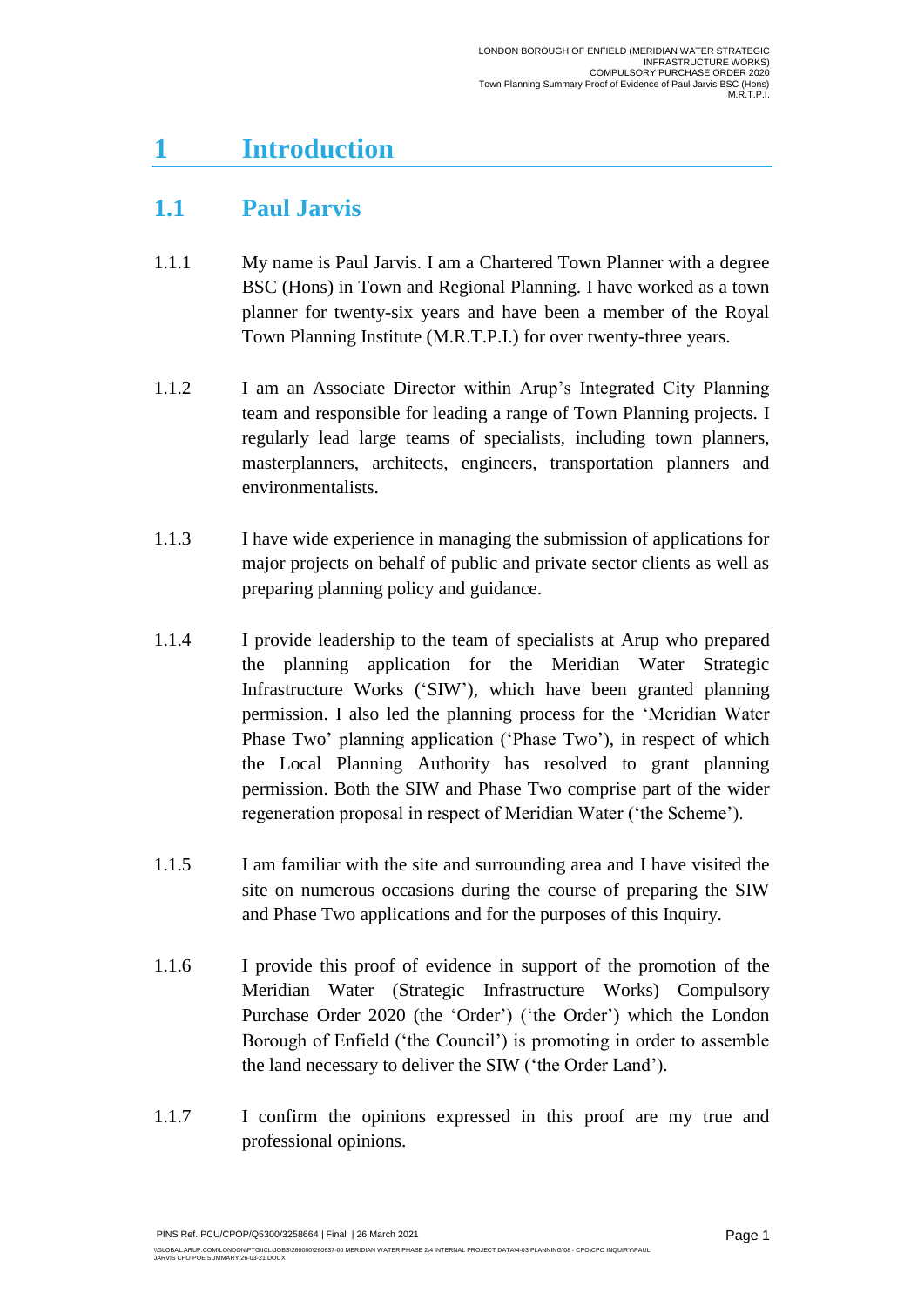## <span id="page-3-0"></span>**1 Introduction**

#### <span id="page-3-1"></span>**1.1 Paul Jarvis**

- 1.1.1 My name is Paul Jarvis. I am a Chartered Town Planner with a degree BSC (Hons) in Town and Regional Planning. I have worked as a town planner for twenty-six years and have been a member of the Royal Town Planning Institute (M.R.T.P.I.) for over twenty-three years.
- 1.1.2 I am an Associate Director within Arup's Integrated City Planning team and responsible for leading a range of Town Planning projects. I regularly lead large teams of specialists, including town planners, masterplanners, architects, engineers, transportation planners and environmentalists.
- 1.1.3 I have wide experience in managing the submission of applications for major projects on behalf of public and private sector clients as well as preparing planning policy and guidance.
- 1.1.4 I provide leadership to the team of specialists at Arup who prepared the planning application for the Meridian Water Strategic Infrastructure Works ('SIW'), which have been granted planning permission. I also led the planning process for the 'Meridian Water Phase Two' planning application ('Phase Two'), in respect of which the Local Planning Authority has resolved to grant planning permission. Both the SIW and Phase Two comprise part of the wider regeneration proposal in respect of Meridian Water ('the Scheme').
- 1.1.5 I am familiar with the site and surrounding area and I have visited the site on numerous occasions during the course of preparing the SIW and Phase Two applications and for the purposes of this Inquiry.
- 1.1.6 I provide this proof of evidence in support of the promotion of the Meridian Water (Strategic Infrastructure Works) Compulsory Purchase Order 2020 (the 'Order') ('the Order') which the London Borough of Enfield ('the Council') is promoting in order to assemble the land necessary to deliver the SIW ('the Order Land').
- 1.1.7 I confirm the opinions expressed in this proof are my true and professional opinions.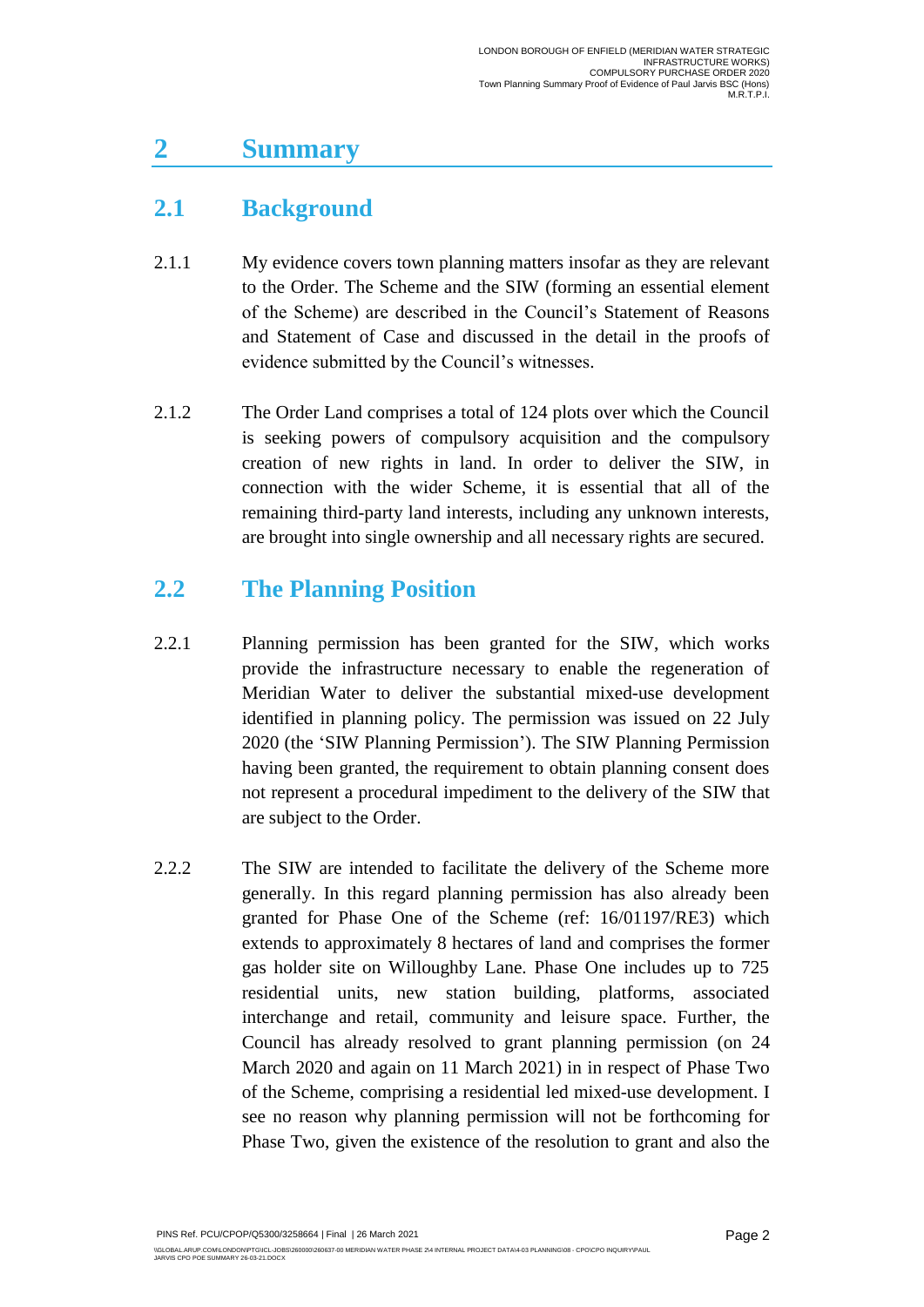## <span id="page-4-0"></span>**2 Summary**

#### <span id="page-4-1"></span>**2.1 Background**

- 2.1.1 My evidence covers town planning matters insofar as they are relevant to the Order. The Scheme and the SIW (forming an essential element of the Scheme) are described in the Council's Statement of Reasons and Statement of Case and discussed in the detail in the proofs of evidence submitted by the Council's witnesses.
- 2.1.2 The Order Land comprises a total of 124 plots over which the Council is seeking powers of compulsory acquisition and the compulsory creation of new rights in land. In order to deliver the SIW, in connection with the wider Scheme, it is essential that all of the remaining third-party land interests, including any unknown interests, are brought into single ownership and all necessary rights are secured.

#### <span id="page-4-2"></span>**2.2 The Planning Position**

- 2.2.1 Planning permission has been granted for the SIW, which works provide the infrastructure necessary to enable the regeneration of Meridian Water to deliver the substantial mixed-use development identified in planning policy. The permission was issued on 22 July 2020 (the 'SIW Planning Permission'). The SIW Planning Permission having been granted, the requirement to obtain planning consent does not represent a procedural impediment to the delivery of the SIW that are subject to the Order.
- 2.2.2 The SIW are intended to facilitate the delivery of the Scheme more generally. In this regard planning permission has also already been granted for Phase One of the Scheme (ref: 16/01197/RE3) which extends to approximately 8 hectares of land and comprises the former gas holder site on Willoughby Lane. Phase One includes up to 725 residential units, new station building, platforms, associated interchange and retail, community and leisure space. Further, the Council has already resolved to grant planning permission (on 24 March 2020 and again on 11 March 2021) in in respect of Phase Two of the Scheme, comprising a residential led mixed-use development. I see no reason why planning permission will not be forthcoming for Phase Two, given the existence of the resolution to grant and also the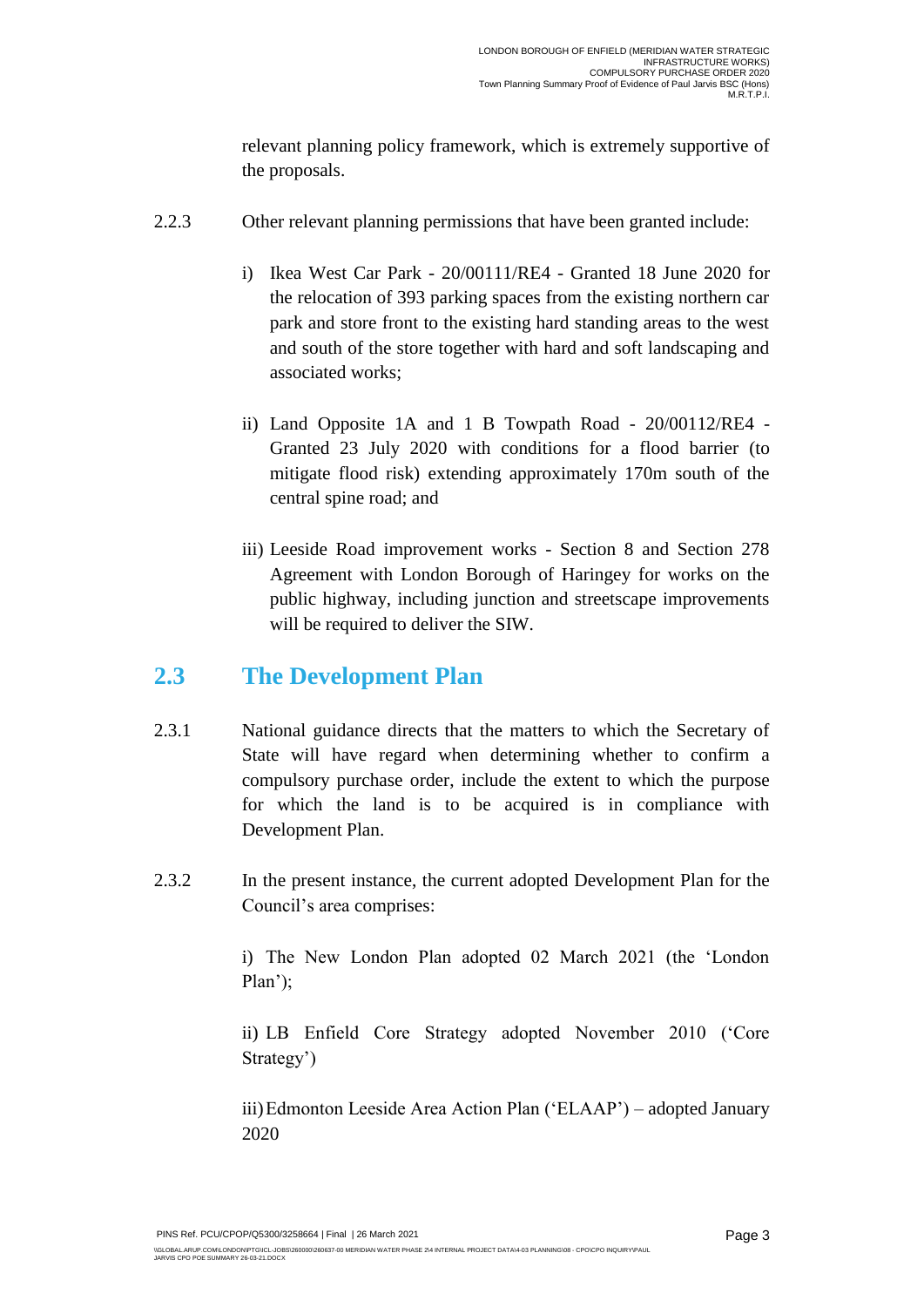relevant planning policy framework, which is extremely supportive of the proposals.

- 2.2.3 Other relevant planning permissions that have been granted include:
	- i) Ikea West Car Park 20/00111/RE4 Granted 18 June 2020 for the relocation of 393 parking spaces from the existing northern car park and store front to the existing hard standing areas to the west and south of the store together with hard and soft landscaping and associated works;
	- ii) Land Opposite 1A and 1 B Towpath Road 20/00112/RE4 Granted 23 July 2020 with conditions for a flood barrier (to mitigate flood risk) extending approximately 170m south of the central spine road; and
	- iii) Leeside Road improvement works Section 8 and Section 278 Agreement with London Borough of Haringey for works on the public highway, including junction and streetscape improvements will be required to deliver the SIW.

#### <span id="page-5-0"></span>**2.3 The Development Plan**

- 2.3.1 National guidance directs that the matters to which the Secretary of State will have regard when determining whether to confirm a compulsory purchase order, include the extent to which the purpose for which the land is to be acquired is in compliance with Development Plan.
- 2.3.2 In the present instance, the current adopted Development Plan for the Council's area comprises:

i) The New London Plan adopted 02 March 2021 (the 'London Plan');

ii) LB Enfield Core Strategy adopted November 2010 ('Core Strategy')

iii)Edmonton Leeside Area Action Plan ('ELAAP') – adopted January 2020

PINS Ref. PCU/CPOP/Q5300/3258664 | Final | 26 March 2021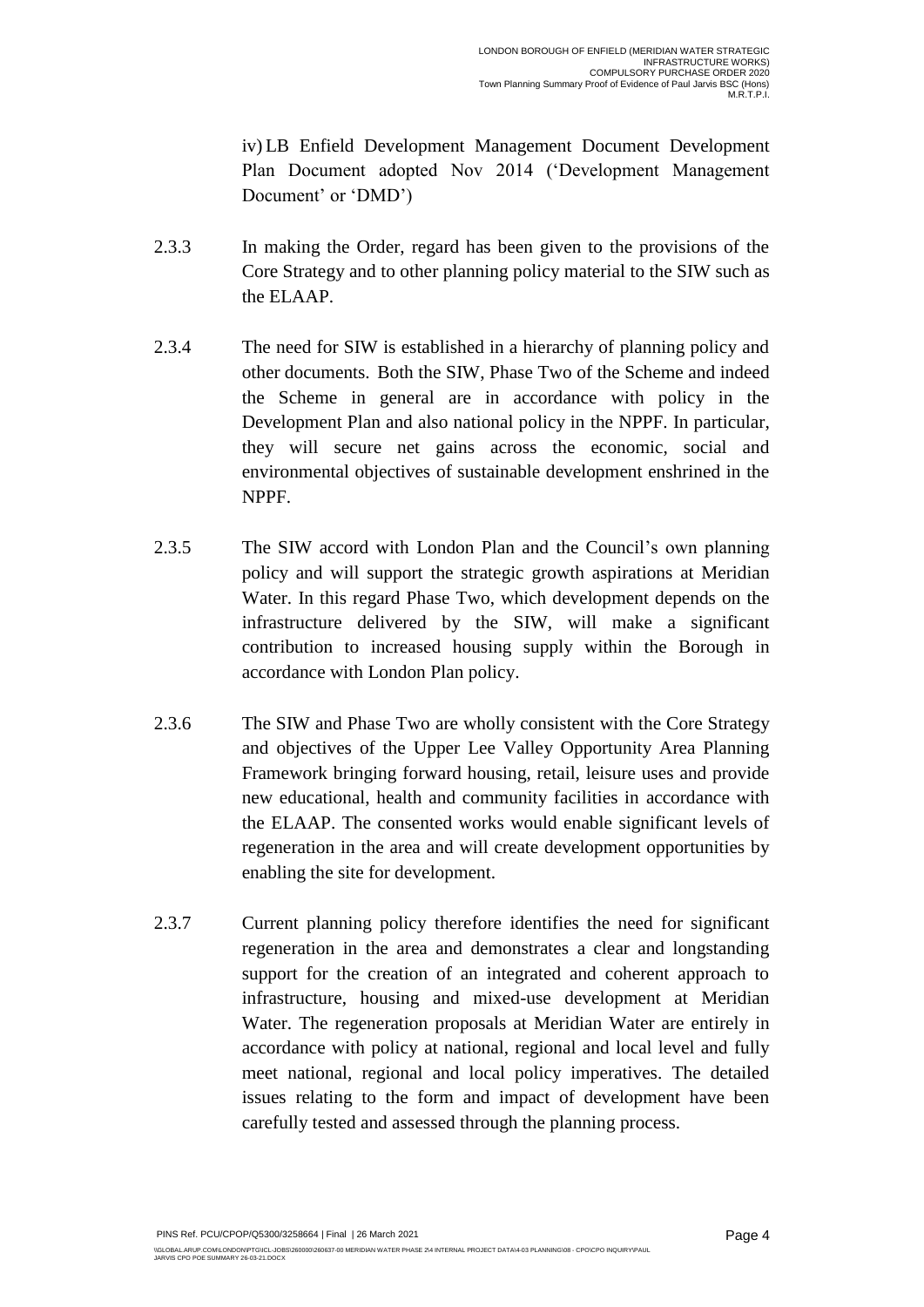iv) LB Enfield Development Management Document Development Plan Document adopted Nov 2014 ('Development Management Document' or 'DMD')

- 2.3.3 In making the Order, regard has been given to the provisions of the Core Strategy and to other planning policy material to the SIW such as the ELAAP.
- 2.3.4 The need for SIW is established in a hierarchy of planning policy and other documents. Both the SIW, Phase Two of the Scheme and indeed the Scheme in general are in accordance with policy in the Development Plan and also national policy in the NPPF. In particular, they will secure net gains across the economic, social and environmental objectives of sustainable development enshrined in the NPPF.
- 2.3.5 The SIW accord with London Plan and the Council's own planning policy and will support the strategic growth aspirations at Meridian Water. In this regard Phase Two, which development depends on the infrastructure delivered by the SIW, will make a significant contribution to increased housing supply within the Borough in accordance with London Plan policy.
- 2.3.6 The SIW and Phase Two are wholly consistent with the Core Strategy and objectives of the Upper Lee Valley Opportunity Area Planning Framework bringing forward housing, retail, leisure uses and provide new educational, health and community facilities in accordance with the ELAAP. The consented works would enable significant levels of regeneration in the area and will create development opportunities by enabling the site for development.
- 2.3.7 Current planning policy therefore identifies the need for significant regeneration in the area and demonstrates a clear and longstanding support for the creation of an integrated and coherent approach to infrastructure, housing and mixed-use development at Meridian Water. The regeneration proposals at Meridian Water are entirely in accordance with policy at national, regional and local level and fully meet national, regional and local policy imperatives. The detailed issues relating to the form and impact of development have been carefully tested and assessed through the planning process.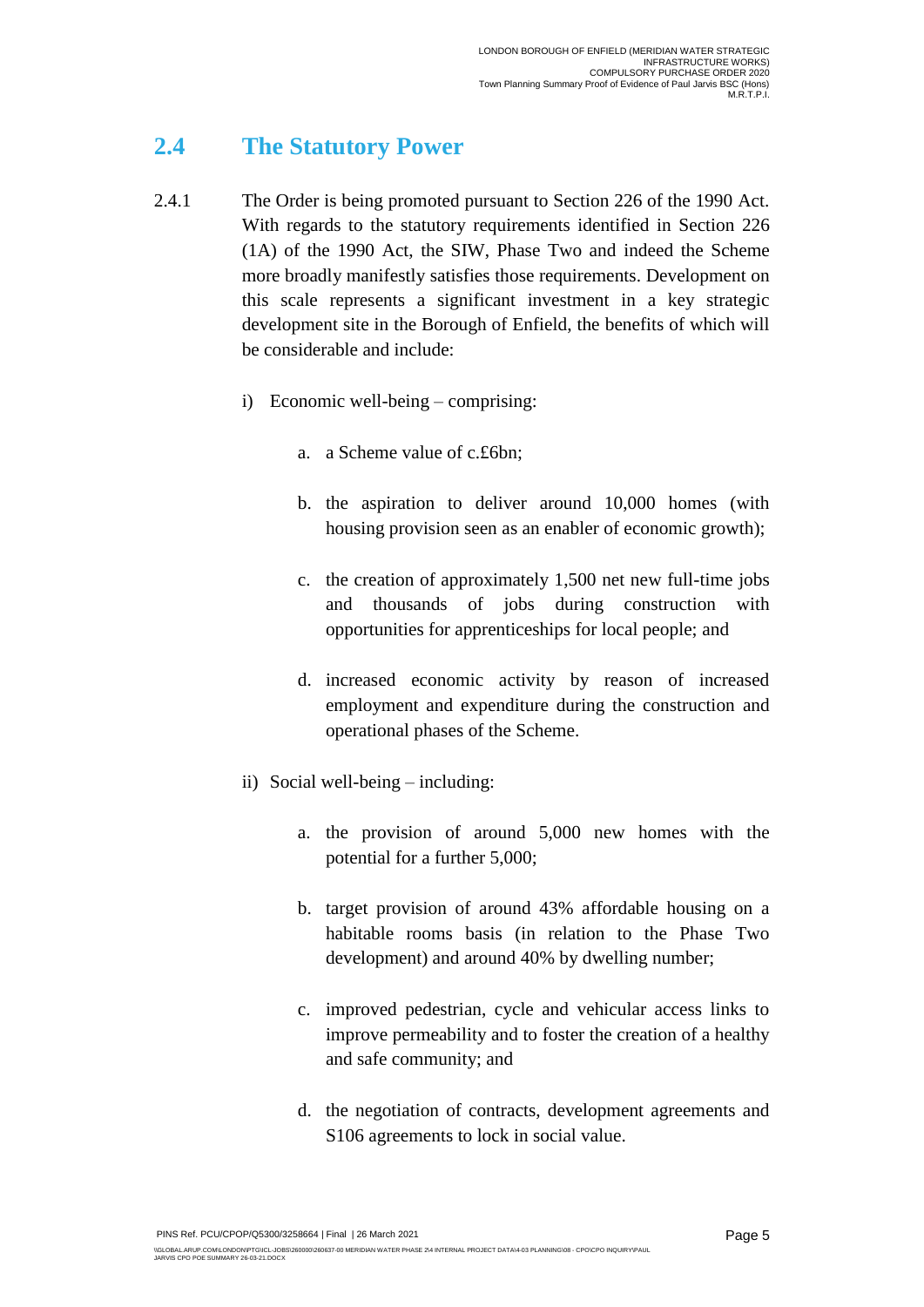#### <span id="page-7-0"></span>**2.4 The Statutory Power**

- 2.4.1 The Order is being promoted pursuant to Section 226 of the 1990 Act. With regards to the statutory requirements identified in Section 226 (1A) of the 1990 Act, the SIW, Phase Two and indeed the Scheme more broadly manifestly satisfies those requirements. Development on this scale represents a significant investment in a key strategic development site in the Borough of Enfield, the benefits of which will be considerable and include:
	- i) Economic well-being comprising:
		- a. a Scheme value of c.£6bn;
		- b. the aspiration to deliver around 10,000 homes (with housing provision seen as an enabler of economic growth);
		- c. the creation of approximately 1,500 net new full-time jobs and thousands of jobs during construction with opportunities for apprenticeships for local people; and
		- d. increased economic activity by reason of increased employment and expenditure during the construction and operational phases of the Scheme.
	- ii) Social well-being including:
		- a. the provision of around 5,000 new homes with the potential for a further 5,000;
		- b. target provision of around 43% affordable housing on a habitable rooms basis (in relation to the Phase Two development) and around 40% by dwelling number;
		- c. improved pedestrian, cycle and vehicular access links to improve permeability and to foster the creation of a healthy and safe community; and
		- d. the negotiation of contracts, development agreements and S106 agreements to lock in social value.